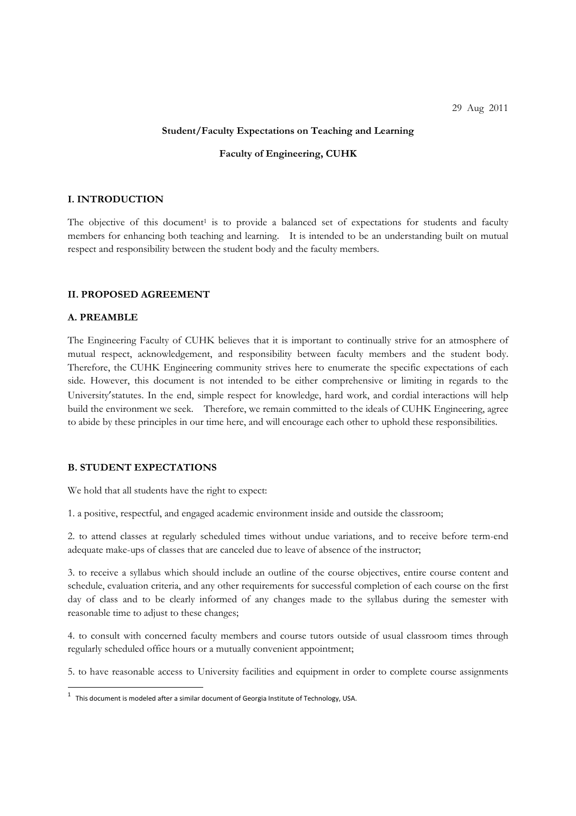#### **Student/Faculty Expectations on Teaching and Learning**

## **Faculty of Engineering, CUHK**

# **I. INTRODUCTION**

The objective of this document<sup>1</sup> is to provide a balanced set of expectations for students and faculty members for enhancing both teaching and learning. It is intended to be an understanding built on mutual respect and responsibility between the student body and the faculty members.

#### **II. PROPOSED AGREEMENT**

# **A. PREAMBLE**

The Engineering Faculty of CUHK believes that it is important to continually strive for an atmosphere of mutual respect, acknowledgement, and responsibility between faculty members and the student body. Therefore, the CUHK Engineering community strives here to enumerate the specific expectations of each side. However, this document is not intended to be either comprehensive or limiting in regards to the University'statutes. In the end, simple respect for knowledge, hard work, and cordial interactions will help build the environment we seek. Therefore, we remain committed to the ideals of CUHK Engineering, agree to abide by these principles in our time here, and will encourage each other to uphold these responsibilities.

#### **B. STUDENT EXPECTATIONS**

We hold that all students have the right to expect:

1. a positive, respectful, and engaged academic environment inside and outside the classroom;

2. to attend classes at regularly scheduled times without undue variations, and to receive before term-end adequate make-ups of classes that are canceled due to leave of absence of the instructor;

3. to receive a syllabus which should include an outline of the course objectives, entire course content and schedule, evaluation criteria, and any other requirements for successful completion of each course on the first day of class and to be clearly informed of any changes made to the syllabus during the semester with reasonable time to adjust to these changes;

4. to consult with concerned faculty members and course tutors outside of usual classroom times through regularly scheduled office hours or a mutually convenient appointment;

5. to have reasonable access to University facilities and equipment in order to complete course assignments

<sup>1</sup> This document is modeled after <sup>a</sup> similar document of Georgia Institute of Technology, USA.